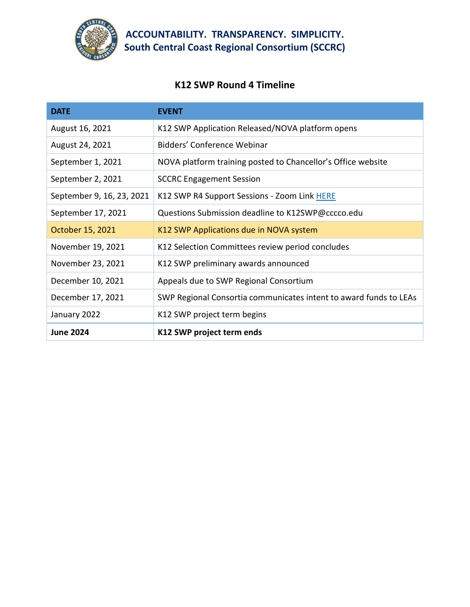

## **ACCOUNTABILITY. TRANSPARENCY. SIMPLICITY. South Central Coast Regional Consortium (SCCRC)**

## **K12 SWP Round 4 Timeline**

| <b>DATE</b>               | <b>EVENT</b>                                                      |
|---------------------------|-------------------------------------------------------------------|
| August 16, 2021           | K12 SWP Application Released/NOVA platform opens                  |
| August 24, 2021           | Bidders' Conference Webinar                                       |
| September 1, 2021         | NOVA platform training posted to Chancellor's Office website      |
| September 2, 2021         | <b>SCCRC Engagement Session</b>                                   |
| September 9, 16, 23, 2021 | K12 SWP R4 Support Sessions - Zoom Link HERE                      |
| September 17, 2021        | Questions Submission deadline to K12SWP@cccco.edu                 |
| October 15, 2021          | K12 SWP Applications due in NOVA system                           |
| November 19, 2021         | K12 Selection Committees review period concludes                  |
| November 23, 2021         | K12 SWP preliminary awards announced                              |
| December 10, 2021         | Appeals due to SWP Regional Consortium                            |
| December 17, 2021         | SWP Regional Consortia communicates intent to award funds to LEAs |
| January 2022              | K12 SWP project term begins                                       |
| <b>June 2024</b>          | K12 SWP project term ends                                         |